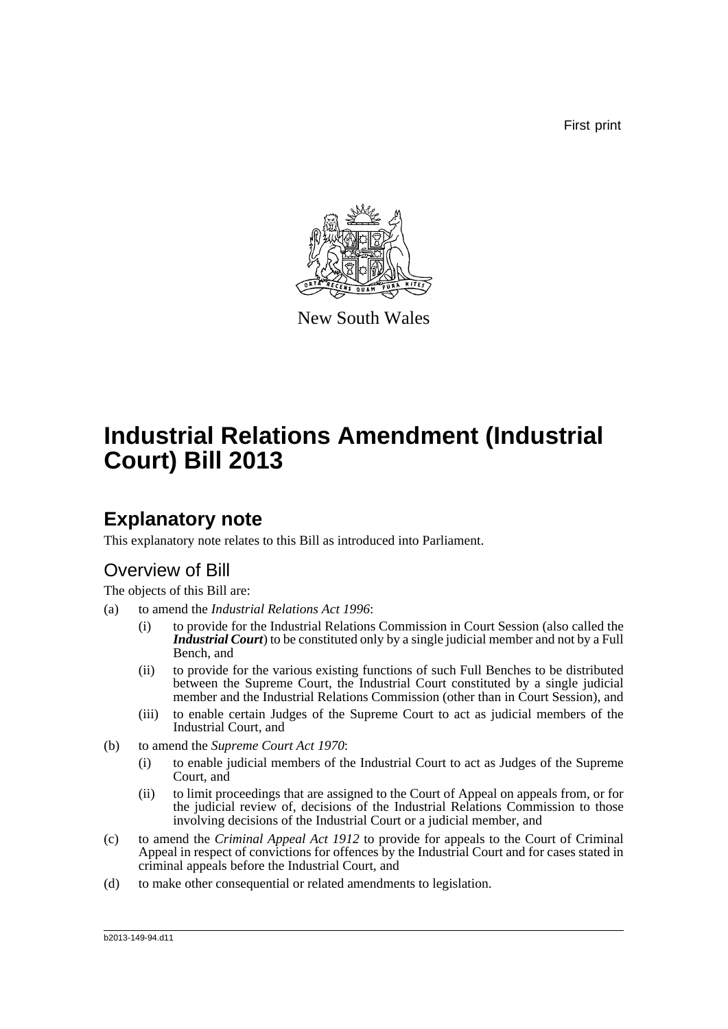First print



New South Wales

# **Industrial Relations Amendment (Industrial Court) Bill 2013**

### **Explanatory note**

This explanatory note relates to this Bill as introduced into Parliament.

### Overview of Bill

The objects of this Bill are:

- (a) to amend the *Industrial Relations Act 1996*:
	- (i) to provide for the Industrial Relations Commission in Court Session (also called the *Industrial Court*) to be constituted only by a single judicial member and not by a Full Bench, and
	- (ii) to provide for the various existing functions of such Full Benches to be distributed between the Supreme Court, the Industrial Court constituted by a single judicial member and the Industrial Relations Commission (other than in Court Session), and
	- (iii) to enable certain Judges of the Supreme Court to act as judicial members of the Industrial Court, and
- (b) to amend the *Supreme Court Act 1970*:
	- (i) to enable judicial members of the Industrial Court to act as Judges of the Supreme Court, and
	- (ii) to limit proceedings that are assigned to the Court of Appeal on appeals from, or for the judicial review of, decisions of the Industrial Relations Commission to those involving decisions of the Industrial Court or a judicial member, and
- (c) to amend the *Criminal Appeal Act 1912* to provide for appeals to the Court of Criminal Appeal in respect of convictions for offences by the Industrial Court and for cases stated in criminal appeals before the Industrial Court, and
- (d) to make other consequential or related amendments to legislation.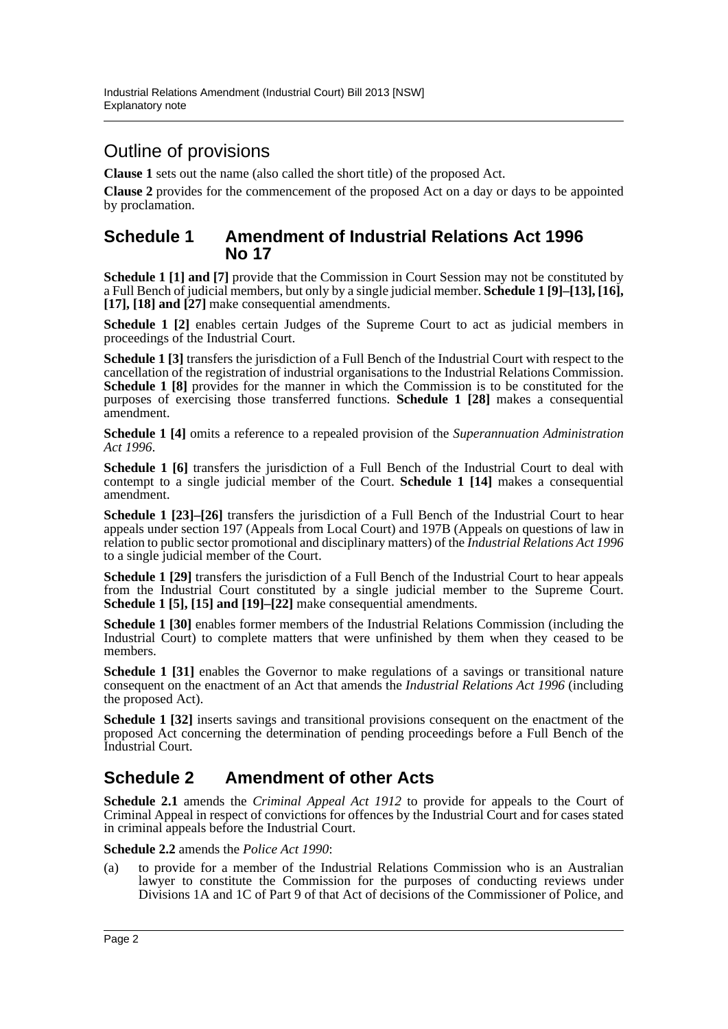### Outline of provisions

**Clause 1** sets out the name (also called the short title) of the proposed Act.

**Clause 2** provides for the commencement of the proposed Act on a day or days to be appointed by proclamation.

#### **Schedule 1 Amendment of Industrial Relations Act 1996 No 17**

**Schedule 1 [1] and [7]** provide that the Commission in Court Session may not be constituted by a Full Bench of judicial members, but only by a single judicial member. **Schedule 1 [9]–[13], [16], [17], [18] and [27]** make consequential amendments.

**Schedule 1 [2]** enables certain Judges of the Supreme Court to act as judicial members in proceedings of the Industrial Court.

**Schedule 1 [3]** transfers the jurisdiction of a Full Bench of the Industrial Court with respect to the cancellation of the registration of industrial organisations to the Industrial Relations Commission. **Schedule 1 [8]** provides for the manner in which the Commission is to be constituted for the purposes of exercising those transferred functions. **Schedule 1 [28]** makes a consequential amendment.

**Schedule 1 [4]** omits a reference to a repealed provision of the *Superannuation Administration Act 1996*.

**Schedule 1 [6]** transfers the jurisdiction of a Full Bench of the Industrial Court to deal with contempt to a single judicial member of the Court. **Schedule 1 [14]** makes a consequential amendment.

**Schedule 1 [23]–[26]** transfers the jurisdiction of a Full Bench of the Industrial Court to hear appeals under section 197 (Appeals from Local Court) and 197B (Appeals on questions of law in relation to public sector promotional and disciplinary matters) of the *Industrial Relations Act 1996* to a single judicial member of the Court.

**Schedule 1 [29]** transfers the jurisdiction of a Full Bench of the Industrial Court to hear appeals from the Industrial Court constituted by a single judicial member to the Supreme Court. **Schedule 1 [5], [15] and [19]–[22]** make consequential amendments.

**Schedule 1 [30]** enables former members of the Industrial Relations Commission (including the Industrial Court) to complete matters that were unfinished by them when they ceased to be members.

**Schedule 1 [31]** enables the Governor to make regulations of a savings or transitional nature consequent on the enactment of an Act that amends the *Industrial Relations Act 1996* (including the proposed Act).

**Schedule 1 [32]** inserts savings and transitional provisions consequent on the enactment of the proposed Act concerning the determination of pending proceedings before a Full Bench of the Industrial Court.

#### **Schedule 2 Amendment of other Acts**

**Schedule 2.1** amends the *Criminal Appeal Act 1912* to provide for appeals to the Court of Criminal Appeal in respect of convictions for offences by the Industrial Court and for cases stated in criminal appeals before the Industrial Court.

**Schedule 2.2** amends the *Police Act 1990*:

(a) to provide for a member of the Industrial Relations Commission who is an Australian lawyer to constitute the Commission for the purposes of conducting reviews under Divisions 1A and 1C of Part 9 of that Act of decisions of the Commissioner of Police, and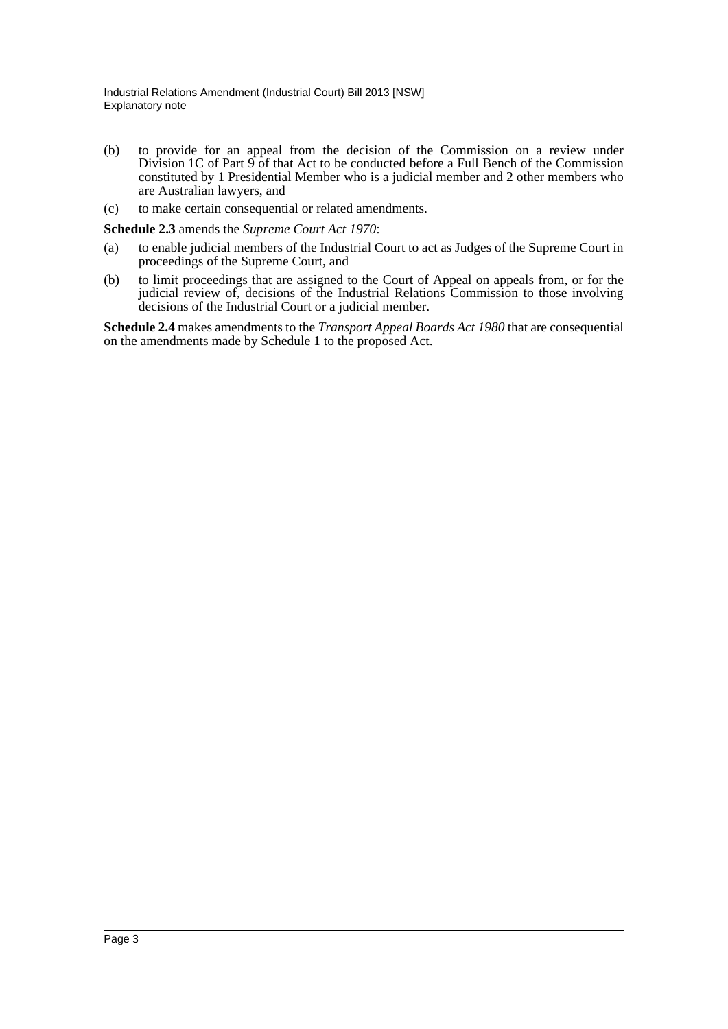- (b) to provide for an appeal from the decision of the Commission on a review under Division 1C of Part 9 of that Act to be conducted before a Full Bench of the Commission constituted by 1 Presidential Member who is a judicial member and 2 other members who are Australian lawyers, and
- (c) to make certain consequential or related amendments.

**Schedule 2.3** amends the *Supreme Court Act 1970*:

- (a) to enable judicial members of the Industrial Court to act as Judges of the Supreme Court in proceedings of the Supreme Court, and
- (b) to limit proceedings that are assigned to the Court of Appeal on appeals from, or for the judicial review of, decisions of the Industrial Relations Commission to those involving decisions of the Industrial Court or a judicial member.

**Schedule 2.4** makes amendments to the *Transport Appeal Boards Act 1980* that are consequential on the amendments made by Schedule 1 to the proposed Act.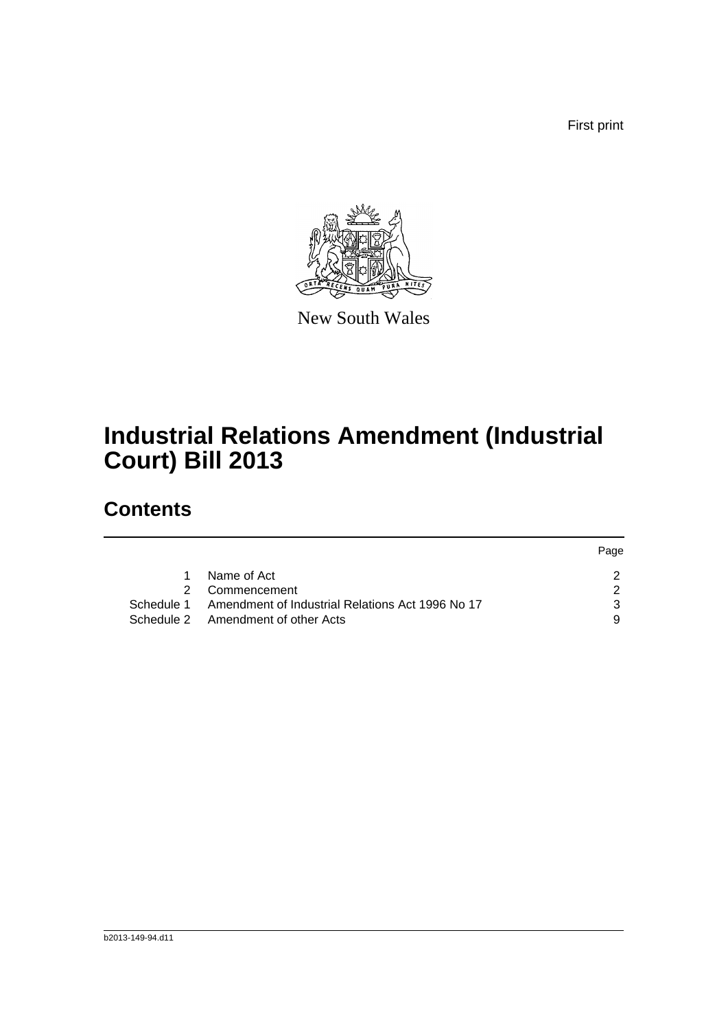First print

Page



New South Wales

# **Industrial Relations Amendment (Industrial Court) Bill 2013**

## **Contents**

|            |                                                  | <b>Page</b> |
|------------|--------------------------------------------------|-------------|
| 1.         | Name of Act                                      |             |
|            | 2 Commencement                                   |             |
| Schedule 1 | Amendment of Industrial Relations Act 1996 No 17 |             |
|            | Schedule 2 Amendment of other Acts               |             |
|            |                                                  |             |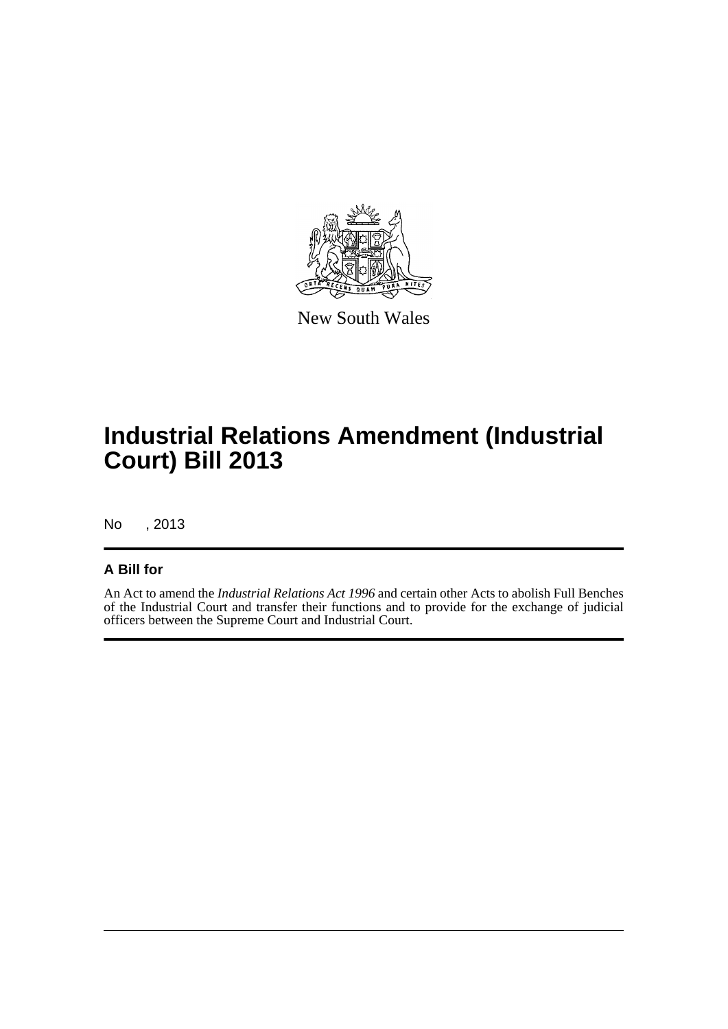

New South Wales

# **Industrial Relations Amendment (Industrial Court) Bill 2013**

No , 2013

#### **A Bill for**

An Act to amend the *Industrial Relations Act 1996* and certain other Acts to abolish Full Benches of the Industrial Court and transfer their functions and to provide for the exchange of judicial officers between the Supreme Court and Industrial Court.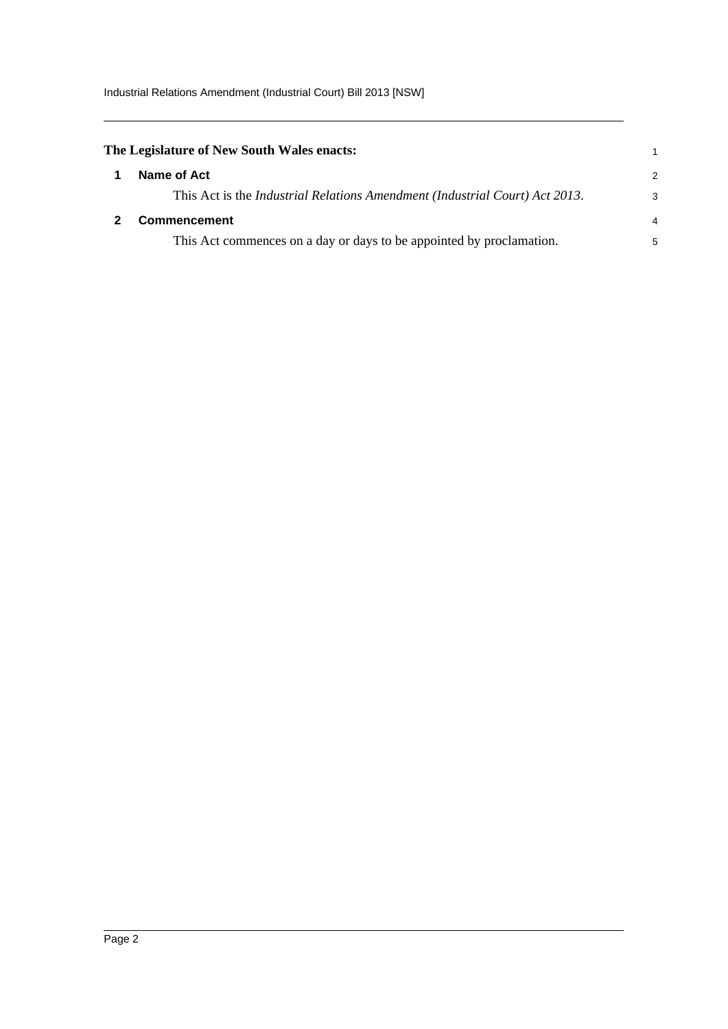Industrial Relations Amendment (Industrial Court) Bill 2013 [NSW]

<span id="page-5-1"></span><span id="page-5-0"></span>

| The Legislature of New South Wales enacts:                                          |                |
|-------------------------------------------------------------------------------------|----------------|
| Name of Act                                                                         | 2              |
| This Act is the <i>Industrial Relations Amendment (Industrial Court) Act 2013</i> . | 3              |
| Commencement                                                                        | $\overline{4}$ |
| This Act commences on a day or days to be appointed by proclamation.                | 5              |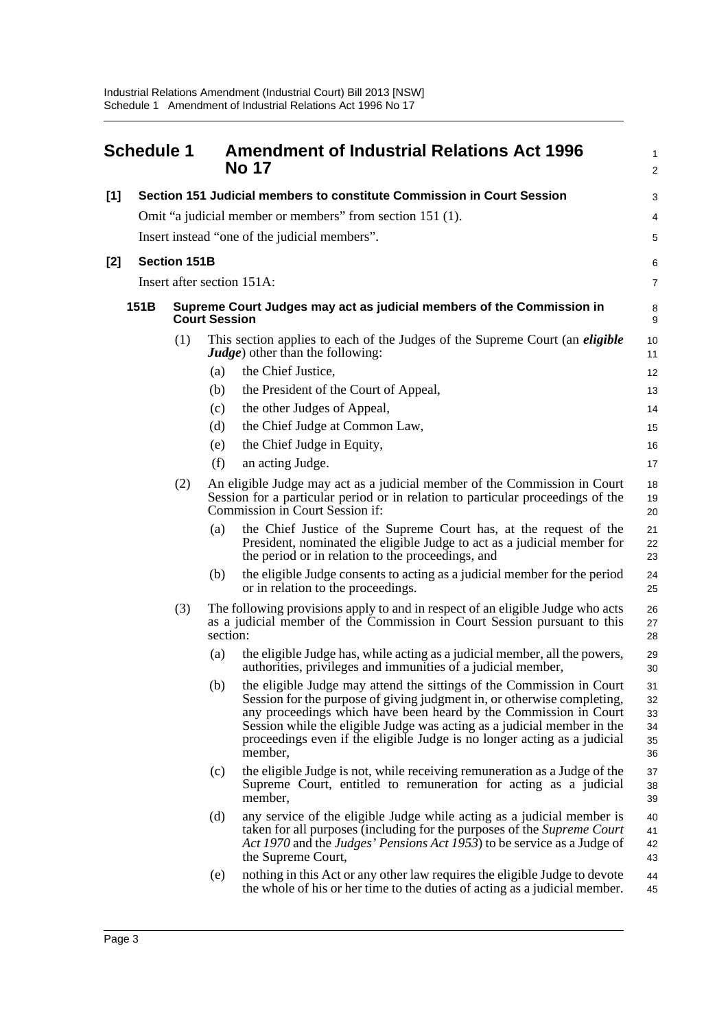<span id="page-6-0"></span>

|       | <b>Schedule 1</b> |                     |                      | <b>Amendment of Industrial Relations Act 1996</b><br><b>No 17</b>                                                                                                                                                                                                                                                                                                                      | 1<br>2                           |
|-------|-------------------|---------------------|----------------------|----------------------------------------------------------------------------------------------------------------------------------------------------------------------------------------------------------------------------------------------------------------------------------------------------------------------------------------------------------------------------------------|----------------------------------|
| [1]   |                   |                     |                      | Section 151 Judicial members to constitute Commission in Court Session                                                                                                                                                                                                                                                                                                                 | 3                                |
|       |                   |                     |                      | Omit "a judicial member or members" from section 151 (1).                                                                                                                                                                                                                                                                                                                              | 4                                |
|       |                   |                     |                      | Insert instead "one of the judicial members".                                                                                                                                                                                                                                                                                                                                          | 5                                |
| $[2]$ |                   | <b>Section 151B</b> |                      |                                                                                                                                                                                                                                                                                                                                                                                        | 6                                |
|       |                   |                     |                      | Insert after section 151A:                                                                                                                                                                                                                                                                                                                                                             | $\overline{7}$                   |
|       | 151 <sub>B</sub>  |                     | <b>Court Session</b> | Supreme Court Judges may act as judicial members of the Commission in                                                                                                                                                                                                                                                                                                                  | 8<br>9                           |
|       |                   | (1)                 |                      | This section applies to each of the Judges of the Supreme Court (an <i>eligible</i><br><b><i>Judge</i></b> ) other than the following:                                                                                                                                                                                                                                                 | 10<br>11                         |
|       |                   |                     | (a)                  | the Chief Justice,                                                                                                                                                                                                                                                                                                                                                                     | 12                               |
|       |                   |                     | (b)                  | the President of the Court of Appeal,                                                                                                                                                                                                                                                                                                                                                  | 13                               |
|       |                   |                     | (c)                  | the other Judges of Appeal,                                                                                                                                                                                                                                                                                                                                                            | 14                               |
|       |                   |                     | (d)                  | the Chief Judge at Common Law,                                                                                                                                                                                                                                                                                                                                                         | 15                               |
|       |                   |                     | (e)                  | the Chief Judge in Equity,                                                                                                                                                                                                                                                                                                                                                             | 16                               |
|       |                   |                     | (f)                  | an acting Judge.                                                                                                                                                                                                                                                                                                                                                                       | 17                               |
|       |                   | (2)                 |                      | An eligible Judge may act as a judicial member of the Commission in Court<br>Session for a particular period or in relation to particular proceedings of the<br>Commission in Court Session if:                                                                                                                                                                                        | 18<br>19<br>20                   |
|       |                   |                     | (a)                  | the Chief Justice of the Supreme Court has, at the request of the<br>President, nominated the eligible Judge to act as a judicial member for<br>the period or in relation to the proceedings, and                                                                                                                                                                                      | 21<br>22<br>23                   |
|       |                   |                     | (b)                  | the eligible Judge consents to acting as a judicial member for the period<br>or in relation to the proceedings.                                                                                                                                                                                                                                                                        | 24<br>25                         |
|       |                   | (3)                 | section:             | The following provisions apply to and in respect of an eligible Judge who acts<br>as a judicial member of the Commission in Court Session pursuant to this                                                                                                                                                                                                                             | 26<br>27<br>28                   |
|       |                   |                     | (a)                  | the eligible Judge has, while acting as a judicial member, all the powers,<br>authorities, privileges and immunities of a judicial member,                                                                                                                                                                                                                                             | 29<br>30                         |
|       |                   |                     | (b)                  | the eligible Judge may attend the sittings of the Commission in Court<br>Session for the purpose of giving judgment in, or otherwise completing,<br>any proceedings which have been heard by the Commission in Court<br>Session while the eligible Judge was acting as a judicial member in the<br>proceedings even if the eligible Judge is no longer acting as a judicial<br>member, | 31<br>32<br>33<br>34<br>35<br>36 |
|       |                   |                     | (c)                  | the eligible Judge is not, while receiving remuneration as a Judge of the<br>Supreme Court, entitled to remuneration for acting as a judicial<br>member,                                                                                                                                                                                                                               | 37<br>38<br>39                   |
|       |                   |                     | (d)                  | any service of the eligible Judge while acting as a judicial member is<br>taken for all purposes (including for the purposes of the Supreme Court<br>Act 1970 and the Judges' Pensions Act 1953) to be service as a Judge of<br>the Supreme Court,                                                                                                                                     | 40<br>41<br>42<br>43             |
|       |                   |                     | (e)                  | nothing in this Act or any other law requires the eligible Judge to devote<br>the whole of his or her time to the duties of acting as a judicial member.                                                                                                                                                                                                                               | 44<br>45                         |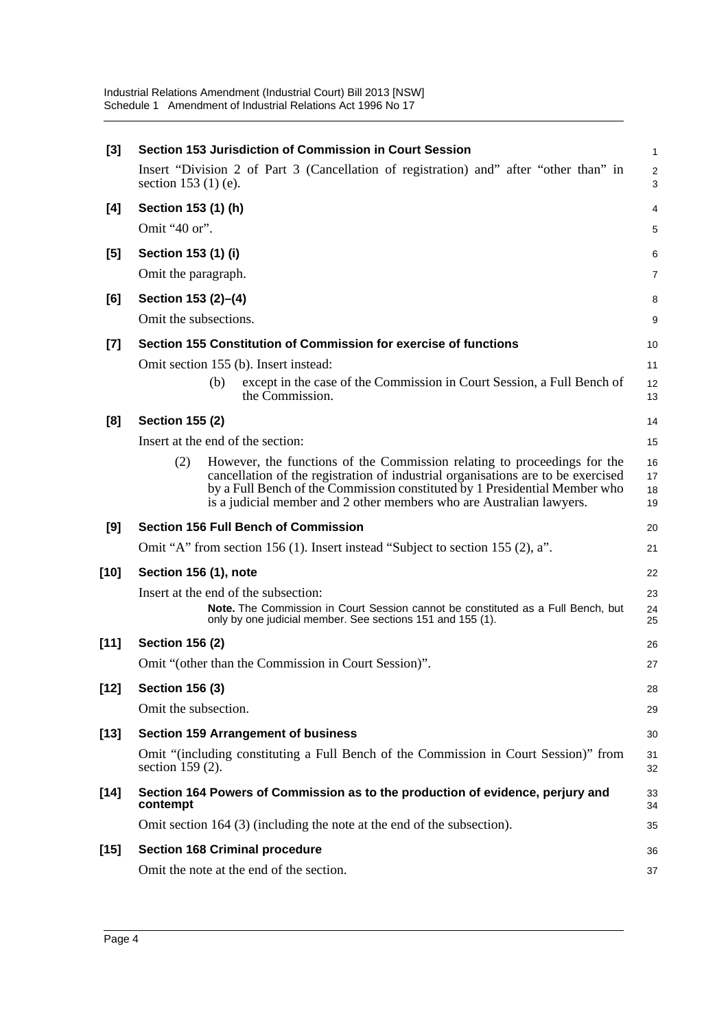| $[3]$            | Section 153 Jurisdiction of Commission in Court Session<br>$\mathbf{1}$                                                                                                                                                                                                                                                   |                      |  |  |  |  |
|------------------|---------------------------------------------------------------------------------------------------------------------------------------------------------------------------------------------------------------------------------------------------------------------------------------------------------------------------|----------------------|--|--|--|--|
|                  | Insert "Division 2 of Part 3 (Cancellation of registration) and" after "other than" in<br>section $153(1)$ (e).                                                                                                                                                                                                           | $\overline{2}$<br>3  |  |  |  |  |
| [4]              | Section 153 (1) (h)                                                                                                                                                                                                                                                                                                       | 4                    |  |  |  |  |
|                  | Omit "40 or".                                                                                                                                                                                                                                                                                                             | 5                    |  |  |  |  |
| [5]              | Section 153 (1) (i)                                                                                                                                                                                                                                                                                                       | 6                    |  |  |  |  |
|                  | Omit the paragraph.                                                                                                                                                                                                                                                                                                       | 7                    |  |  |  |  |
| [6]              | Section 153 (2)-(4)                                                                                                                                                                                                                                                                                                       | 8                    |  |  |  |  |
|                  | Omit the subsections.                                                                                                                                                                                                                                                                                                     | 9                    |  |  |  |  |
| $[7]$            | Section 155 Constitution of Commission for exercise of functions                                                                                                                                                                                                                                                          | 10                   |  |  |  |  |
|                  | Omit section 155 (b). Insert instead:                                                                                                                                                                                                                                                                                     | 11                   |  |  |  |  |
|                  | except in the case of the Commission in Court Session, a Full Bench of<br>(b)<br>the Commission.                                                                                                                                                                                                                          | 12<br>13             |  |  |  |  |
| [8]              | <b>Section 155 (2)</b>                                                                                                                                                                                                                                                                                                    | 14                   |  |  |  |  |
|                  | Insert at the end of the section:                                                                                                                                                                                                                                                                                         | 15                   |  |  |  |  |
|                  | (2)<br>However, the functions of the Commission relating to proceedings for the<br>cancellation of the registration of industrial organisations are to be exercised<br>by a Full Bench of the Commission constituted by 1 Presidential Member who<br>is a judicial member and 2 other members who are Australian lawyers. | 16<br>17<br>18<br>19 |  |  |  |  |
|                  |                                                                                                                                                                                                                                                                                                                           |                      |  |  |  |  |
| [9]              | <b>Section 156 Full Bench of Commission</b>                                                                                                                                                                                                                                                                               | 20                   |  |  |  |  |
|                  | Omit "A" from section 156 (1). Insert instead "Subject to section 155 (2), a".                                                                                                                                                                                                                                            | 21                   |  |  |  |  |
|                  | Section 156 (1), note                                                                                                                                                                                                                                                                                                     | 22                   |  |  |  |  |
| [10]             | Insert at the end of the subsection:<br><b>Note.</b> The Commission in Court Session cannot be constituted as a Full Bench, but<br>only by one judicial member. See sections 151 and 155 (1).                                                                                                                             | 23<br>24<br>25       |  |  |  |  |
| $[11]$           | <b>Section 156 (2)</b>                                                                                                                                                                                                                                                                                                    | 26                   |  |  |  |  |
|                  | Omit "(other than the Commission in Court Session)".                                                                                                                                                                                                                                                                      | 27                   |  |  |  |  |
| [12]             | <b>Section 156 (3)</b>                                                                                                                                                                                                                                                                                                    | 28                   |  |  |  |  |
|                  | Omit the subsection.                                                                                                                                                                                                                                                                                                      | 29                   |  |  |  |  |
|                  | <b>Section 159 Arrangement of business</b>                                                                                                                                                                                                                                                                                | 30                   |  |  |  |  |
|                  | Omit "(including constituting a Full Bench of the Commission in Court Session)" from<br>section 159 (2).                                                                                                                                                                                                                  | 31<br>32             |  |  |  |  |
| $[13]$<br>$[14]$ | Section 164 Powers of Commission as to the production of evidence, perjury and<br>contempt                                                                                                                                                                                                                                | 33<br>34             |  |  |  |  |
|                  | Omit section 164 (3) (including the note at the end of the subsection).                                                                                                                                                                                                                                                   | 35                   |  |  |  |  |
| [15]             | <b>Section 168 Criminal procedure</b>                                                                                                                                                                                                                                                                                     | 36                   |  |  |  |  |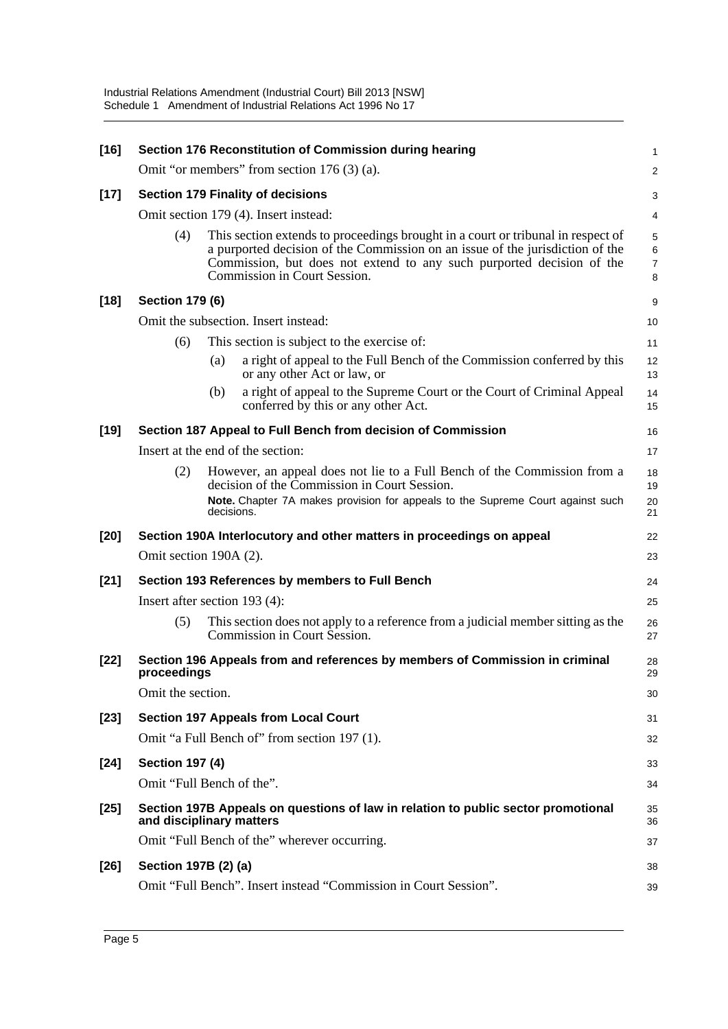| $[16]$ |                               |            | Section 176 Reconstitution of Commission during hearing                                                                                                                                                                                                                    | 1                |
|--------|-------------------------------|------------|----------------------------------------------------------------------------------------------------------------------------------------------------------------------------------------------------------------------------------------------------------------------------|------------------|
|        |                               |            | Omit "or members" from section $176(3)(a)$ .                                                                                                                                                                                                                               | $\overline{c}$   |
| $[17]$ |                               |            | <b>Section 179 Finality of decisions</b>                                                                                                                                                                                                                                   | 3                |
|        |                               |            | Omit section 179 (4). Insert instead:                                                                                                                                                                                                                                      | 4                |
|        | (4)                           |            | This section extends to proceedings brought in a court or tribunal in respect of<br>a purported decision of the Commission on an issue of the jurisdiction of the<br>Commission, but does not extend to any such purported decision of the<br>Commission in Court Session. | 5<br>6<br>7<br>8 |
| $[18]$ | <b>Section 179 (6)</b>        |            |                                                                                                                                                                                                                                                                            | 9                |
|        |                               |            | Omit the subsection. Insert instead:                                                                                                                                                                                                                                       | 10               |
|        | (6)                           |            | This section is subject to the exercise of:                                                                                                                                                                                                                                | 11               |
|        |                               | (a)        | a right of appeal to the Full Bench of the Commission conferred by this<br>or any other Act or law, or                                                                                                                                                                     | 12<br>13         |
|        |                               | (b)        | a right of appeal to the Supreme Court or the Court of Criminal Appeal<br>conferred by this or any other Act.                                                                                                                                                              | 14<br>15         |
| $[19]$ |                               |            | Section 187 Appeal to Full Bench from decision of Commission                                                                                                                                                                                                               | 16               |
|        |                               |            | Insert at the end of the section:                                                                                                                                                                                                                                          | 17               |
|        | (2)                           |            | However, an appeal does not lie to a Full Bench of the Commission from a<br>decision of the Commission in Court Session.                                                                                                                                                   | 18<br>19         |
|        |                               | decisions. | Note. Chapter 7A makes provision for appeals to the Supreme Court against such                                                                                                                                                                                             | 20<br>21         |
| $[20]$ |                               |            | Section 190A Interlocutory and other matters in proceedings on appeal                                                                                                                                                                                                      | 22               |
|        | Omit section 190A (2).        |            |                                                                                                                                                                                                                                                                            | 23               |
| $[21]$ |                               |            | Section 193 References by members to Full Bench                                                                                                                                                                                                                            | 24               |
|        | Insert after section 193 (4): |            |                                                                                                                                                                                                                                                                            | 25               |
|        | (5)                           |            |                                                                                                                                                                                                                                                                            |                  |
|        |                               |            | This section does not apply to a reference from a judicial member sitting as the<br>Commission in Court Session.                                                                                                                                                           | 26<br>27         |
| $[22]$ | proceedings                   |            | Section 196 Appeals from and references by members of Commission in criminal                                                                                                                                                                                               | 28<br>29         |
|        | Omit the section.             |            |                                                                                                                                                                                                                                                                            | 30               |
| $[23]$ |                               |            | <b>Section 197 Appeals from Local Court</b>                                                                                                                                                                                                                                | 31               |
|        |                               |            | Omit "a Full Bench of" from section 197 (1).                                                                                                                                                                                                                               | 32               |
| $[24]$ | <b>Section 197 (4)</b>        |            |                                                                                                                                                                                                                                                                            | 33               |
|        | Omit "Full Bench of the".     |            |                                                                                                                                                                                                                                                                            | 34               |
| $[25]$ | and disciplinary matters      |            | Section 197B Appeals on questions of law in relation to public sector promotional                                                                                                                                                                                          | 35<br>36         |
|        |                               |            | Omit "Full Bench of the" wherever occurring.                                                                                                                                                                                                                               | 37               |
| $[26]$ | Section 197B (2) (a)          |            |                                                                                                                                                                                                                                                                            | 38               |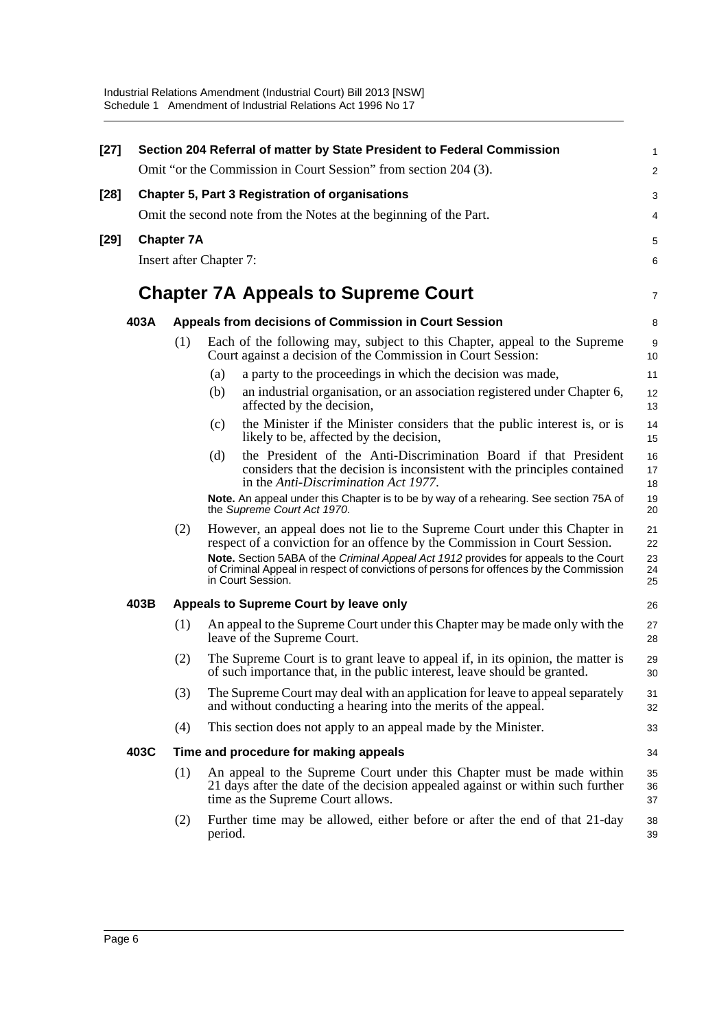| $[27]$ | Section 204 Referral of matter by State President to Federal Commission |                   |                                                                                                                                                                                                     |                         |  |  |  |
|--------|-------------------------------------------------------------------------|-------------------|-----------------------------------------------------------------------------------------------------------------------------------------------------------------------------------------------------|-------------------------|--|--|--|
|        |                                                                         |                   | Omit "or the Commission in Court Session" from section 204 (3).                                                                                                                                     | $\overline{\mathbf{c}}$ |  |  |  |
| [28]   |                                                                         |                   | <b>Chapter 5, Part 3 Registration of organisations</b>                                                                                                                                              | 3                       |  |  |  |
|        |                                                                         |                   | Omit the second note from the Notes at the beginning of the Part.                                                                                                                                   | 4                       |  |  |  |
| [29]   |                                                                         | <b>Chapter 7A</b> |                                                                                                                                                                                                     | 5                       |  |  |  |
|        |                                                                         |                   | Insert after Chapter 7:                                                                                                                                                                             | 6                       |  |  |  |
|        |                                                                         |                   | <b>Chapter 7A Appeals to Supreme Court</b>                                                                                                                                                          | 7                       |  |  |  |
|        | 403A                                                                    |                   | Appeals from decisions of Commission in Court Session                                                                                                                                               | 8                       |  |  |  |
|        |                                                                         | (1)               | Each of the following may, subject to this Chapter, appeal to the Supreme<br>Court against a decision of the Commission in Court Session:                                                           | 9<br>10                 |  |  |  |
|        |                                                                         |                   | a party to the proceedings in which the decision was made,<br>(a)                                                                                                                                   | 11                      |  |  |  |
|        |                                                                         |                   | an industrial organisation, or an association registered under Chapter 6,<br>(b)<br>affected by the decision,                                                                                       | 12<br>13                |  |  |  |
|        |                                                                         |                   | the Minister if the Minister considers that the public interest is, or is<br>(c)<br>likely to be, affected by the decision,                                                                         | 14<br>15                |  |  |  |
|        |                                                                         |                   | the President of the Anti-Discrimination Board if that President<br>(d)<br>considers that the decision is inconsistent with the principles contained<br>in the Anti-Discrimination Act 1977.        | 16<br>17<br>18          |  |  |  |
|        |                                                                         |                   | Note. An appeal under this Chapter is to be by way of a rehearing. See section 75A of<br>the Supreme Court Act 1970.                                                                                | 19<br>20                |  |  |  |
|        |                                                                         | (2)               | However, an appeal does not lie to the Supreme Court under this Chapter in<br>respect of a conviction for an offence by the Commission in Court Session.                                            | 21<br>22                |  |  |  |
|        |                                                                         |                   | Note. Section 5ABA of the Criminal Appeal Act 1912 provides for appeals to the Court<br>of Criminal Appeal in respect of convictions of persons for offences by the Commission<br>in Court Session. | 23<br>24<br>25          |  |  |  |
|        | 403B                                                                    |                   | Appeals to Supreme Court by leave only                                                                                                                                                              | 26                      |  |  |  |
|        |                                                                         | (1)               | An appeal to the Supreme Court under this Chapter may be made only with the<br>leave of the Supreme Court.                                                                                          | 27<br>28                |  |  |  |
|        |                                                                         | (2)               | The Supreme Court is to grant leave to appeal if, in its opinion, the matter is<br>of such importance that, in the public interest, leave should be granted.                                        | 29<br>30                |  |  |  |
|        |                                                                         | (3)               | The Supreme Court may deal with an application for leave to appeal separately<br>and without conducting a hearing into the merits of the appeal.                                                    | 31<br>32                |  |  |  |
|        |                                                                         | (4)               | This section does not apply to an appeal made by the Minister.                                                                                                                                      | 33                      |  |  |  |
|        | 403C                                                                    |                   | Time and procedure for making appeals                                                                                                                                                               | 34                      |  |  |  |
|        |                                                                         | (1)               | An appeal to the Supreme Court under this Chapter must be made within<br>21 days after the date of the decision appealed against or within such further<br>time as the Supreme Court allows.        | 35<br>36<br>37          |  |  |  |
|        |                                                                         | (2)               | Further time may be allowed, either before or after the end of that 21-day<br>period.                                                                                                               | 38<br>39                |  |  |  |
|        |                                                                         |                   |                                                                                                                                                                                                     |                         |  |  |  |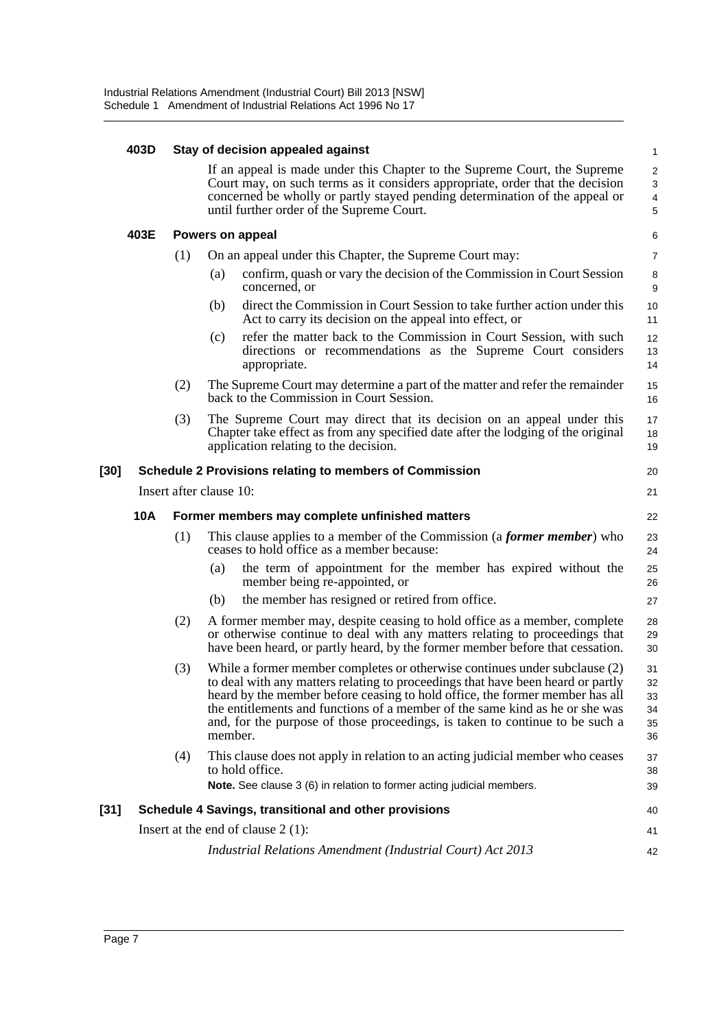|        | 403D       |                         |         | Stay of decision appealed against                                                                                                                                                                                                                                                      | $\mathbf{1}$                                                 |
|--------|------------|-------------------------|---------|----------------------------------------------------------------------------------------------------------------------------------------------------------------------------------------------------------------------------------------------------------------------------------------|--------------------------------------------------------------|
|        |            |                         |         | If an appeal is made under this Chapter to the Supreme Court, the Supreme<br>Court may, on such terms as it considers appropriate, order that the decision<br>concerned be wholly or partly stayed pending determination of the appeal or<br>until further order of the Supreme Court. | $\overline{2}$<br>$\sqrt{3}$<br>$\overline{\mathbf{4}}$<br>5 |
|        | 403E       |                         |         | Powers on appeal                                                                                                                                                                                                                                                                       | 6                                                            |
|        |            | (1)                     |         | On an appeal under this Chapter, the Supreme Court may:                                                                                                                                                                                                                                | $\overline{7}$                                               |
|        |            |                         | (a)     | confirm, quash or vary the decision of the Commission in Court Session<br>concerned, or                                                                                                                                                                                                | 8<br>9                                                       |
|        |            |                         | (b)     | direct the Commission in Court Session to take further action under this<br>Act to carry its decision on the appeal into effect, or                                                                                                                                                    | 10<br>11                                                     |
|        |            |                         | (c)     | refer the matter back to the Commission in Court Session, with such<br>directions or recommendations as the Supreme Court considers<br>appropriate.                                                                                                                                    | 12<br>13<br>14                                               |
|        |            | (2)                     |         | The Supreme Court may determine a part of the matter and refer the remainder<br>back to the Commission in Court Session.                                                                                                                                                               | 15<br>16                                                     |
|        |            | (3)                     |         | The Supreme Court may direct that its decision on an appeal under this<br>Chapter take effect as from any specified date after the lodging of the original<br>application relating to the decision.                                                                                    | 17<br>18<br>19                                               |
| [30]   |            |                         |         | <b>Schedule 2 Provisions relating to members of Commission</b>                                                                                                                                                                                                                         | 20                                                           |
|        |            | Insert after clause 10: |         |                                                                                                                                                                                                                                                                                        | 21                                                           |
|        | <b>10A</b> |                         |         | Former members may complete unfinished matters                                                                                                                                                                                                                                         | 22                                                           |
|        |            | (1)                     |         | This clause applies to a member of the Commission (a <i>former member</i> ) who<br>ceases to hold office as a member because:                                                                                                                                                          | 23<br>24                                                     |
|        |            |                         | (a)     | the term of appointment for the member has expired without the<br>member being re-appointed, or                                                                                                                                                                                        | 25<br>26                                                     |
|        |            |                         | (b)     | the member has resigned or retired from office.                                                                                                                                                                                                                                        | 27                                                           |
|        |            | (2)                     |         | A former member may, despite ceasing to hold office as a member, complete<br>or otherwise continue to deal with any matters relating to proceedings that<br>have been heard, or partly heard, by the former member before that cessation.                                              | 28<br>29<br>30                                               |
|        |            | (3)                     |         | While a former member completes or otherwise continues under subclause (2)<br>to deal with any matters relating to proceedings that have been heard or partly<br>heard by the member before ceasing to hold office, the former member has all                                          | 31<br>32<br>33<br>34                                         |
|        |            |                         | member. | the entitlements and functions of a member of the same kind as he or she was<br>and, for the purpose of those proceedings, is taken to continue to be such a                                                                                                                           | 35<br>36                                                     |
|        |            | (4)                     |         | This clause does not apply in relation to an acting judicial member who ceases<br>to hold office.<br>Note. See clause 3 (6) in relation to former acting judicial members.                                                                                                             | 37<br>38<br>39                                               |
| $[31]$ |            |                         |         | Schedule 4 Savings, transitional and other provisions                                                                                                                                                                                                                                  | 40                                                           |
|        |            |                         |         | Insert at the end of clause $2(1)$ :                                                                                                                                                                                                                                                   | 41                                                           |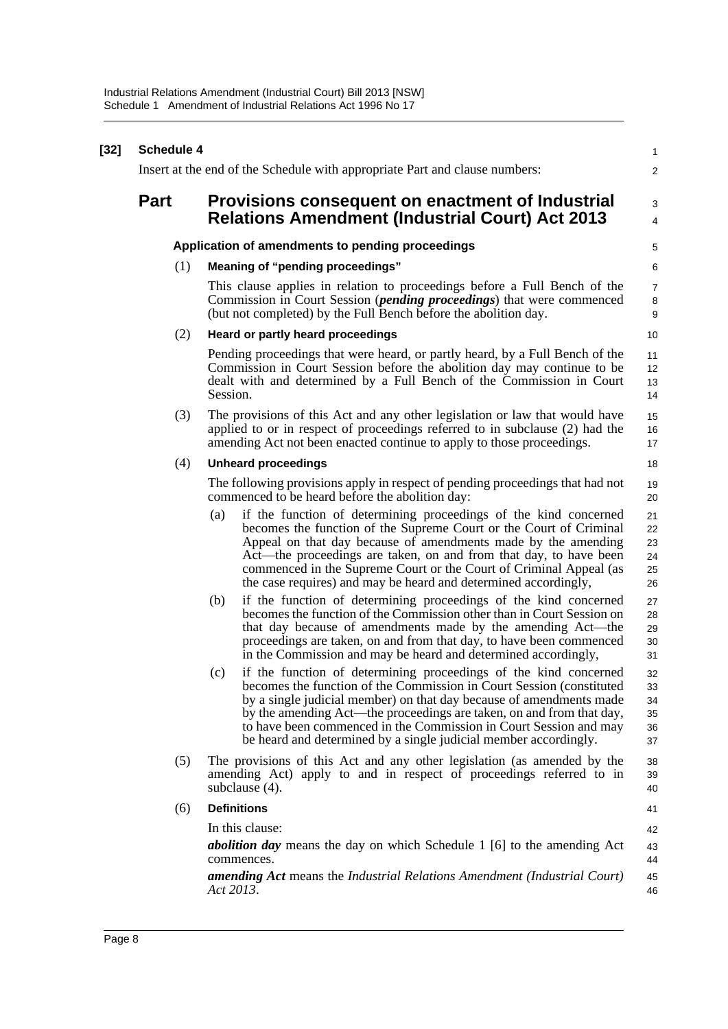| $[32]$ | <b>Schedule 4</b> |                                                                                                                                                                                                                                                                                                                                                                                                                                         |                                  |  |  |  |  |
|--------|-------------------|-----------------------------------------------------------------------------------------------------------------------------------------------------------------------------------------------------------------------------------------------------------------------------------------------------------------------------------------------------------------------------------------------------------------------------------------|----------------------------------|--|--|--|--|
|        |                   | Insert at the end of the Schedule with appropriate Part and clause numbers:                                                                                                                                                                                                                                                                                                                                                             | $\overline{2}$                   |  |  |  |  |
|        | <b>Part</b>       | Provisions consequent on enactment of Industrial                                                                                                                                                                                                                                                                                                                                                                                        | 3                                |  |  |  |  |
|        |                   | <b>Relations Amendment (Industrial Court) Act 2013</b>                                                                                                                                                                                                                                                                                                                                                                                  | $\overline{4}$                   |  |  |  |  |
|        |                   | Application of amendments to pending proceedings                                                                                                                                                                                                                                                                                                                                                                                        | 5                                |  |  |  |  |
|        | (1)               | Meaning of "pending proceedings"                                                                                                                                                                                                                                                                                                                                                                                                        | 6                                |  |  |  |  |
|        |                   | This clause applies in relation to proceedings before a Full Bench of the<br>Commission in Court Session ( <i>pending proceedings</i> ) that were commenced<br>(but not completed) by the Full Bench before the abolition day.                                                                                                                                                                                                          | $\overline{7}$<br>8<br>9         |  |  |  |  |
|        | (2)               | Heard or partly heard proceedings                                                                                                                                                                                                                                                                                                                                                                                                       | 10                               |  |  |  |  |
|        |                   | Pending proceedings that were heard, or partly heard, by a Full Bench of the<br>Commission in Court Session before the abolition day may continue to be<br>dealt with and determined by a Full Bench of the Commission in Court<br>Session.                                                                                                                                                                                             | 11<br>12<br>13<br>14             |  |  |  |  |
|        | (3)               | The provisions of this Act and any other legislation or law that would have<br>applied to or in respect of proceedings referred to in subclause (2) had the<br>amending Act not been enacted continue to apply to those proceedings.                                                                                                                                                                                                    | 15<br>16<br>17                   |  |  |  |  |
|        | (4)               | <b>Unheard proceedings</b>                                                                                                                                                                                                                                                                                                                                                                                                              | 18                               |  |  |  |  |
|        |                   | The following provisions apply in respect of pending proceedings that had not<br>commenced to be heard before the abolition day:                                                                                                                                                                                                                                                                                                        | 19<br>20                         |  |  |  |  |
|        |                   | if the function of determining proceedings of the kind concerned<br>(a)<br>becomes the function of the Supreme Court or the Court of Criminal<br>Appeal on that day because of amendments made by the amending<br>Act—the proceedings are taken, on and from that day, to have been<br>commenced in the Supreme Court or the Court of Criminal Appeal (as<br>the case requires) and may be heard and determined accordingly,            | 21<br>22<br>23<br>24<br>25<br>26 |  |  |  |  |
|        |                   | if the function of determining proceedings of the kind concerned<br>(b)<br>becomes the function of the Commission other than in Court Session on<br>that day because of amendments made by the amending Act—the<br>proceedings are taken, on and from that day, to have been commenced<br>in the Commission and may be heard and determined accordingly,                                                                                | 27<br>28<br>29<br>30<br>31       |  |  |  |  |
|        |                   | if the function of determining proceedings of the kind concerned<br>(c)<br>becomes the function of the Commission in Court Session (constituted<br>by a single judicial member) on that day because of amendments made<br>by the amending Act—the proceedings are taken, on and from that day,<br>to have been commenced in the Commission in Court Session and may<br>be heard and determined by a single judicial member accordingly. | 32<br>33<br>34<br>35<br>36<br>37 |  |  |  |  |
|        | (5)               | The provisions of this Act and any other legislation (as amended by the<br>amending Act) apply to and in respect of proceedings referred to in<br>subclause (4).                                                                                                                                                                                                                                                                        | 38<br>39<br>40                   |  |  |  |  |
|        | (6)               | <b>Definitions</b>                                                                                                                                                                                                                                                                                                                                                                                                                      | 41                               |  |  |  |  |
|        |                   | In this clause:                                                                                                                                                                                                                                                                                                                                                                                                                         | 42                               |  |  |  |  |
|        |                   | <b>abolition day</b> means the day on which Schedule 1 [6] to the amending Act<br>commences.                                                                                                                                                                                                                                                                                                                                            | 43<br>44                         |  |  |  |  |
|        |                   | <b>amending Act</b> means the Industrial Relations Amendment (Industrial Court)<br>Act 2013.                                                                                                                                                                                                                                                                                                                                            | 45<br>46                         |  |  |  |  |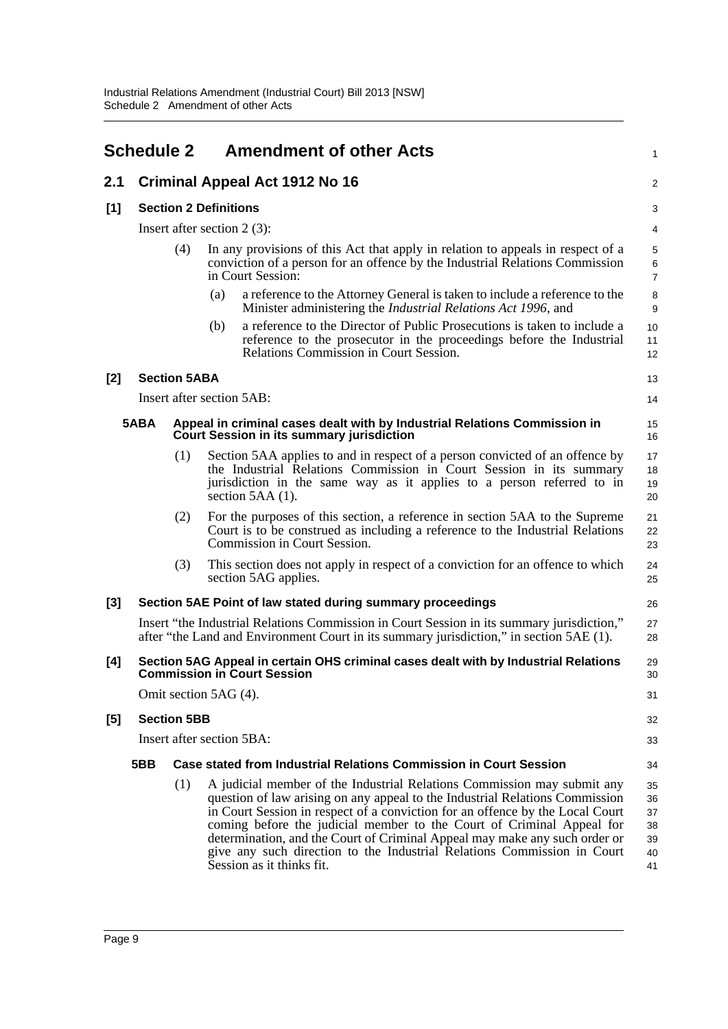<span id="page-12-0"></span>

|       | <b>Schedule 2</b>                 |                     | <b>Amendment of other Acts</b>                                                                                                                                                                                                                                                                                                                                                                                                                                                                          | $\mathbf{1}$                               |  |  |
|-------|-----------------------------------|---------------------|---------------------------------------------------------------------------------------------------------------------------------------------------------------------------------------------------------------------------------------------------------------------------------------------------------------------------------------------------------------------------------------------------------------------------------------------------------------------------------------------------------|--------------------------------------------|--|--|
| 2.1   |                                   |                     | <b>Criminal Appeal Act 1912 No 16</b>                                                                                                                                                                                                                                                                                                                                                                                                                                                                   | 2                                          |  |  |
| [1]   | <b>Section 2 Definitions</b><br>3 |                     |                                                                                                                                                                                                                                                                                                                                                                                                                                                                                                         |                                            |  |  |
|       |                                   |                     | Insert after section $2(3)$ :                                                                                                                                                                                                                                                                                                                                                                                                                                                                           | 4                                          |  |  |
|       |                                   | (4)                 | In any provisions of this Act that apply in relation to appeals in respect of a<br>conviction of a person for an offence by the Industrial Relations Commission<br>in Court Session:                                                                                                                                                                                                                                                                                                                    | $\mathbf 5$<br>$\,6\,$<br>$\boldsymbol{7}$ |  |  |
|       |                                   |                     | a reference to the Attorney General is taken to include a reference to the<br>(a)<br>Minister administering the <i>Industrial Relations Act 1996</i> , and                                                                                                                                                                                                                                                                                                                                              | $\bf 8$<br>9                               |  |  |
|       |                                   |                     | a reference to the Director of Public Prosecutions is taken to include a<br>(b)<br>reference to the prosecutor in the proceedings before the Industrial<br>Relations Commission in Court Session.                                                                                                                                                                                                                                                                                                       | 10<br>11<br>12                             |  |  |
| $[2]$ |                                   | <b>Section 5ABA</b> |                                                                                                                                                                                                                                                                                                                                                                                                                                                                                                         | 13                                         |  |  |
|       |                                   |                     | Insert after section 5AB:                                                                                                                                                                                                                                                                                                                                                                                                                                                                               | 14                                         |  |  |
|       | 5ABA                              |                     | Appeal in criminal cases dealt with by Industrial Relations Commission in<br><b>Court Session in its summary jurisdiction</b>                                                                                                                                                                                                                                                                                                                                                                           | 15<br>16                                   |  |  |
|       |                                   | (1)                 | Section 5AA applies to and in respect of a person convicted of an offence by<br>the Industrial Relations Commission in Court Session in its summary<br>jurisdiction in the same way as it applies to a person referred to in<br>section $5AA(1)$ .                                                                                                                                                                                                                                                      | 17<br>18<br>19<br>20                       |  |  |
|       |                                   | (2)                 | For the purposes of this section, a reference in section 5AA to the Supreme<br>Court is to be construed as including a reference to the Industrial Relations<br>Commission in Court Session.                                                                                                                                                                                                                                                                                                            | 21<br>22<br>23                             |  |  |
|       |                                   | (3)                 | This section does not apply in respect of a conviction for an offence to which<br>section 5AG applies.                                                                                                                                                                                                                                                                                                                                                                                                  | 24<br>25                                   |  |  |
| [3]   |                                   |                     | Section 5AE Point of law stated during summary proceedings                                                                                                                                                                                                                                                                                                                                                                                                                                              | 26                                         |  |  |
|       |                                   |                     | Insert "the Industrial Relations Commission in Court Session in its summary jurisdiction,"<br>after "the Land and Environment Court in its summary jurisdiction," in section 5AE (1).                                                                                                                                                                                                                                                                                                                   | 27<br>28                                   |  |  |
| [4]   |                                   |                     | Section 5AG Appeal in certain OHS criminal cases dealt with by Industrial Relations<br><b>Commission in Court Session</b>                                                                                                                                                                                                                                                                                                                                                                               | 29<br>30                                   |  |  |
|       |                                   |                     | Omit section 5AG (4).                                                                                                                                                                                                                                                                                                                                                                                                                                                                                   | 31                                         |  |  |
| $[5]$ |                                   | <b>Section 5BB</b>  |                                                                                                                                                                                                                                                                                                                                                                                                                                                                                                         | 32                                         |  |  |
|       |                                   |                     | Insert after section 5BA:                                                                                                                                                                                                                                                                                                                                                                                                                                                                               | 33                                         |  |  |
|       | 5BB                               |                     | <b>Case stated from Industrial Relations Commission in Court Session</b>                                                                                                                                                                                                                                                                                                                                                                                                                                | 34                                         |  |  |
|       |                                   | (1)                 | A judicial member of the Industrial Relations Commission may submit any<br>question of law arising on any appeal to the Industrial Relations Commission<br>in Court Session in respect of a conviction for an offence by the Local Court<br>coming before the judicial member to the Court of Criminal Appeal for<br>determination, and the Court of Criminal Appeal may make any such order or<br>give any such direction to the Industrial Relations Commission in Court<br>Session as it thinks fit. | 35<br>36<br>37<br>38<br>39<br>40<br>41     |  |  |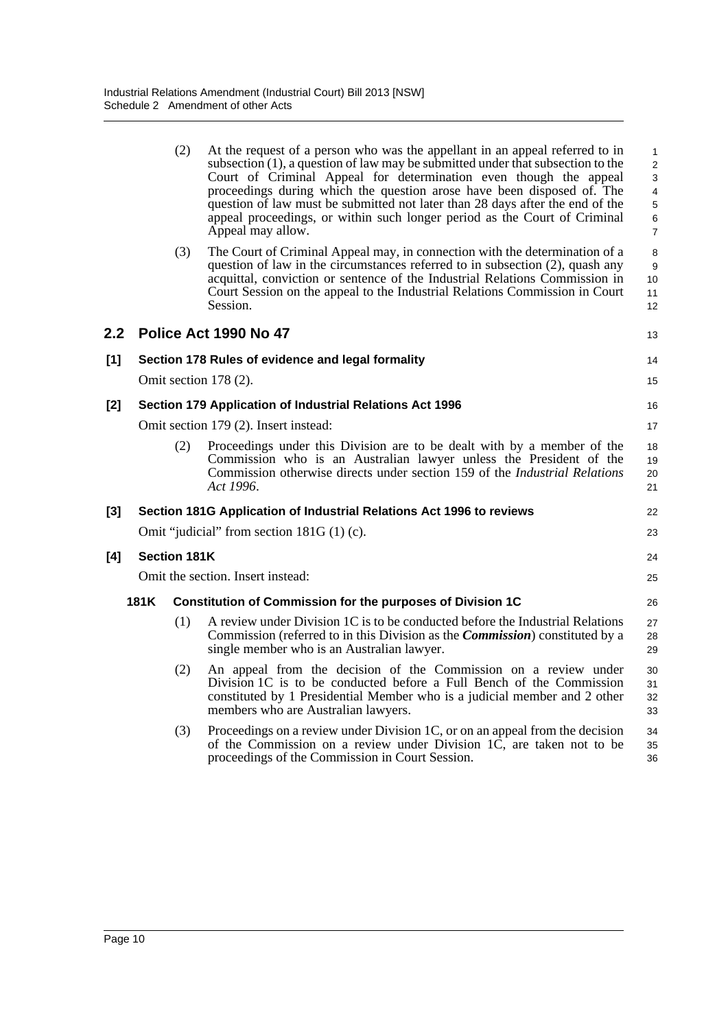|       |                                       | (2)                 | At the request of a person who was the appellant in an appeal referred to in<br>subsection (1), a question of law may be submitted under that subsection to the<br>Court of Criminal Appeal for determination even though the appeal<br>proceedings during which the question arose have been disposed of. The<br>question of law must be submitted not later than 28 days after the end of the<br>appeal proceedings, or within such longer period as the Court of Criminal<br>Appeal may allow. | $\mathbf{1}$<br>2<br>3<br>$\overline{4}$<br>5<br>$\,6\,$<br>$\overline{7}$ |  |  |
|-------|---------------------------------------|---------------------|---------------------------------------------------------------------------------------------------------------------------------------------------------------------------------------------------------------------------------------------------------------------------------------------------------------------------------------------------------------------------------------------------------------------------------------------------------------------------------------------------|----------------------------------------------------------------------------|--|--|
|       |                                       | (3)                 | The Court of Criminal Appeal may, in connection with the determination of a<br>question of law in the circumstances referred to in subsection (2), quash any<br>acquittal, conviction or sentence of the Industrial Relations Commission in<br>Court Session on the appeal to the Industrial Relations Commission in Court<br>Session.                                                                                                                                                            | 8<br>9<br>10<br>11<br>12                                                   |  |  |
| 2.2   |                                       |                     | Police Act 1990 No 47                                                                                                                                                                                                                                                                                                                                                                                                                                                                             | 13                                                                         |  |  |
| [1]   |                                       |                     | Section 178 Rules of evidence and legal formality                                                                                                                                                                                                                                                                                                                                                                                                                                                 | 14                                                                         |  |  |
|       |                                       |                     | Omit section $178(2)$ .                                                                                                                                                                                                                                                                                                                                                                                                                                                                           | 15                                                                         |  |  |
| [2]   |                                       |                     | Section 179 Application of Industrial Relations Act 1996                                                                                                                                                                                                                                                                                                                                                                                                                                          | 16                                                                         |  |  |
|       | Omit section 179 (2). Insert instead: |                     |                                                                                                                                                                                                                                                                                                                                                                                                                                                                                                   |                                                                            |  |  |
|       |                                       | (2)                 | Proceedings under this Division are to be dealt with by a member of the<br>Commission who is an Australian lawyer unless the President of the<br>Commission otherwise directs under section 159 of the <i>Industrial Relations</i><br>Act 1996.                                                                                                                                                                                                                                                   | 18<br>19<br>20<br>21                                                       |  |  |
| $[3]$ |                                       |                     | Section 181G Application of Industrial Relations Act 1996 to reviews                                                                                                                                                                                                                                                                                                                                                                                                                              | 22                                                                         |  |  |
|       |                                       |                     | Omit "judicial" from section $181G(1)$ (c).                                                                                                                                                                                                                                                                                                                                                                                                                                                       | 23                                                                         |  |  |
| [4]   |                                       | <b>Section 181K</b> |                                                                                                                                                                                                                                                                                                                                                                                                                                                                                                   | 24                                                                         |  |  |
|       |                                       |                     | Omit the section. Insert instead:                                                                                                                                                                                                                                                                                                                                                                                                                                                                 | 25                                                                         |  |  |
|       | 181K                                  |                     | <b>Constitution of Commission for the purposes of Division 1C</b>                                                                                                                                                                                                                                                                                                                                                                                                                                 | 26                                                                         |  |  |
|       |                                       | (1)                 | A review under Division 1C is to be conducted before the Industrial Relations<br>Commission (referred to in this Division as the <i>Commission</i> ) constituted by a<br>single member who is an Australian lawyer.                                                                                                                                                                                                                                                                               | 27<br>28<br>29                                                             |  |  |
|       |                                       | (2)                 | An appeal from the decision of the Commission on a review under<br>Division 1C is to be conducted before a Full Bench of the Commission<br>constituted by 1 Presidential Member who is a judicial member and 2 other<br>members who are Australian lawyers.                                                                                                                                                                                                                                       | 30<br>31<br>32<br>33                                                       |  |  |
|       |                                       | (3)                 | Proceedings on a review under Division 1C, or on an appeal from the decision<br>of the Commission on a review under Division 1C, are taken not to be<br>proceedings of the Commission in Court Session.                                                                                                                                                                                                                                                                                           | 34<br>35<br>36                                                             |  |  |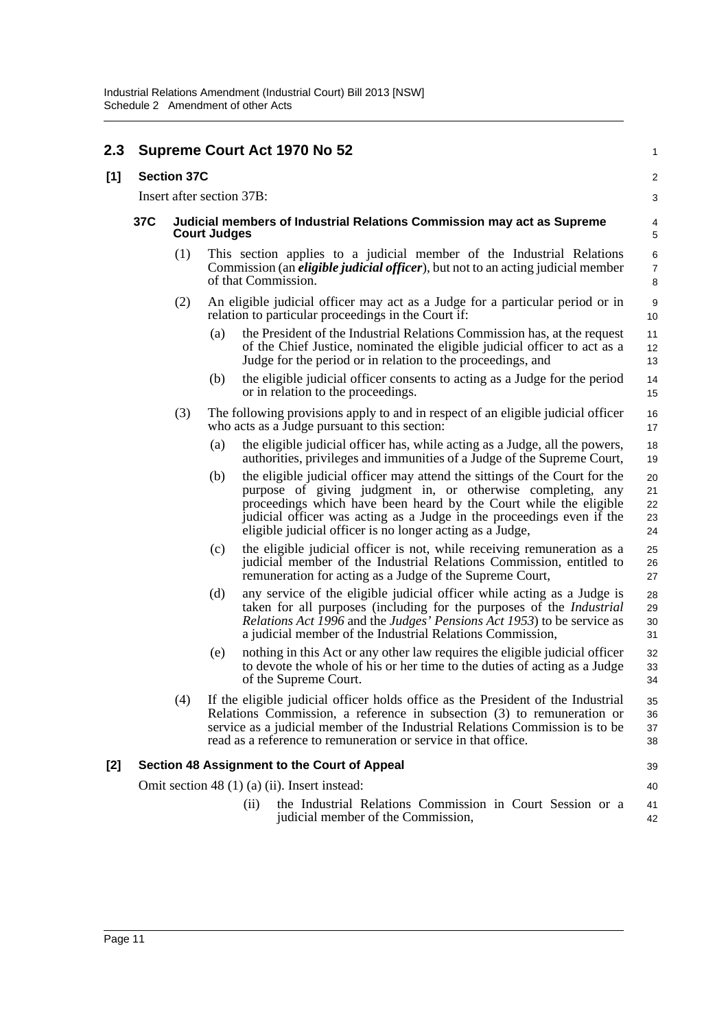| 2.3 |     |                    |                                                                                               | <b>Supreme Court Act 1970 No 52</b>                                                                                                                                                                                                                                                                                                                  | 1                          |  |
|-----|-----|--------------------|-----------------------------------------------------------------------------------------------|------------------------------------------------------------------------------------------------------------------------------------------------------------------------------------------------------------------------------------------------------------------------------------------------------------------------------------------------------|----------------------------|--|
| [1] |     | <b>Section 37C</b> |                                                                                               |                                                                                                                                                                                                                                                                                                                                                      | $\overline{c}$             |  |
|     |     |                    |                                                                                               | Insert after section 37B:                                                                                                                                                                                                                                                                                                                            | 3                          |  |
|     | 37C |                    | Judicial members of Industrial Relations Commission may act as Supreme<br><b>Court Judges</b> |                                                                                                                                                                                                                                                                                                                                                      |                            |  |
|     |     | (1)                |                                                                                               | This section applies to a judicial member of the Industrial Relations<br>Commission (an <i>eligible judicial officer</i> ), but not to an acting judicial member<br>of that Commission.                                                                                                                                                              | 6<br>$\boldsymbol{7}$<br>8 |  |
|     |     | (2)                |                                                                                               | An eligible judicial officer may act as a Judge for a particular period or in<br>relation to particular proceedings in the Court if:                                                                                                                                                                                                                 | $\boldsymbol{9}$<br>10     |  |
|     |     |                    | (a)                                                                                           | the President of the Industrial Relations Commission has, at the request<br>of the Chief Justice, nominated the eligible judicial officer to act as a<br>Judge for the period or in relation to the proceedings, and                                                                                                                                 | 11<br>12<br>13             |  |
|     |     |                    | (b)                                                                                           | the eligible judicial officer consents to acting as a Judge for the period<br>or in relation to the proceedings.                                                                                                                                                                                                                                     | 14<br>15                   |  |
|     |     | (3)                |                                                                                               | The following provisions apply to and in respect of an eligible judicial officer<br>who acts as a Judge pursuant to this section:                                                                                                                                                                                                                    | 16<br>17                   |  |
|     |     |                    | (a)                                                                                           | the eligible judicial officer has, while acting as a Judge, all the powers,<br>authorities, privileges and immunities of a Judge of the Supreme Court,                                                                                                                                                                                               | 18<br>19                   |  |
|     |     |                    | (b)                                                                                           | the eligible judicial officer may attend the sittings of the Court for the<br>purpose of giving judgment in, or otherwise completing, any<br>proceedings which have been heard by the Court while the eligible<br>judicial officer was acting as a Judge in the proceedings even if the<br>eligible judicial officer is no longer acting as a Judge, | 20<br>21<br>22<br>23<br>24 |  |
|     |     |                    | (c)                                                                                           | the eligible judicial officer is not, while receiving remuneration as a<br>judicial member of the Industrial Relations Commission, entitled to<br>remuneration for acting as a Judge of the Supreme Court,                                                                                                                                           | 25<br>26<br>27             |  |
|     |     |                    | (d)                                                                                           | any service of the eligible judicial officer while acting as a Judge is<br>taken for all purposes (including for the purposes of the <i>Industrial</i><br><i>Relations Act 1996</i> and the <i>Judges' Pensions Act 1953</i> ) to be service as<br>a judicial member of the Industrial Relations Commission,                                         | 28<br>29<br>30<br>31       |  |
|     |     |                    | (e)                                                                                           | nothing in this Act or any other law requires the eligible judicial officer<br>to devote the whole of his or her time to the duties of acting as a Judge<br>of the Supreme Court.                                                                                                                                                                    | 32<br>33<br>34             |  |
|     |     | (4)                |                                                                                               | If the eligible judicial officer holds office as the President of the Industrial<br>Relations Commission, a reference in subsection (3) to remuneration or<br>service as a judicial member of the Industrial Relations Commission is to be<br>read as a reference to remuneration or service in that office.                                         | 35<br>36<br>37<br>38       |  |
| [2] |     |                    |                                                                                               | Section 48 Assignment to the Court of Appeal                                                                                                                                                                                                                                                                                                         | 39                         |  |
|     |     |                    |                                                                                               | Omit section 48 (1) (a) (ii). Insert instead:                                                                                                                                                                                                                                                                                                        | 40                         |  |
|     |     |                    |                                                                                               | the Industrial Relations Commission in Court Session or a<br>(i)<br>judicial member of the Commission,                                                                                                                                                                                                                                               | 41<br>42                   |  |